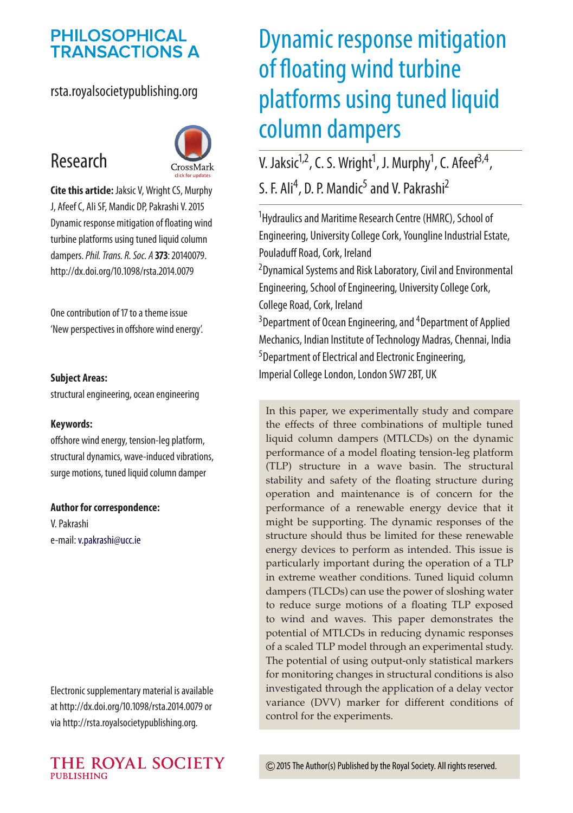## **PHILOSOPHICAL TRANSACTIONS A**

#### rsta.royalsocietypublishing.org

## Research



**Cite this article:** Jaksic V, Wright CS, Murphy J, Afeef C, Ali SF, Mandic DP, Pakrashi V. 2015 Dynamic response mitigation of floating wind turbine platforms using tuned liquid column dampers.*Phil. Trans. R. Soc. A* **373**: 20140079. http://dx.doi.org/10.1098/rsta.2014.0079

One contribution of 17 to a theme issue 'New perspectives in offshore wind energy'.

#### **Subject Areas:**

structural engineering, ocean engineering

#### **Keywords:**

offshore wind energy, tension-leg platform, structural dynamics, wave-induced vibrations, surge motions, tuned liquid column damper

#### **Author for correspondence:**

V. Pakrashi e-mail:[v.pakrashi@ucc.ie](mailto:v.pakrashi@ucc.ie)

Electronic supplementary material is available at http://dx.doi.org/10.1098/rsta.2014.0079 or via http://rsta.royalsocietypublishing.org.

# Dynamic response mitigation of floating wind turbine platforms using tuned liquid column dampers

V. Jaksic<sup>1,2</sup>, C. S. Wright<sup>1</sup>, J. Murphy<sup>1</sup>, C. Afeef<sup>3,4</sup>, S. F. Ali<sup>4</sup>, D. P. Mandic<sup>5</sup> and V. Pakrashi<sup>2</sup>

1 Hydraulics and Maritime Research Centre (HMRC), School of Engineering, University College Cork, Youngline Industrial Estate, Pouladuff Road, Cork, Ireland

2 Dynamical Systems and Risk Laboratory, Civil and Environmental Engineering, School of Engineering, University College Cork, College Road, Cork, Ireland

<sup>3</sup> Department of Ocean Engineering, and <sup>4</sup> Department of Applied Mechanics, Indian Institute of Technology Madras, Chennai, India <sup>5</sup>Department of Electrical and Electronic Engineering, Imperial College London, London SW7 2BT, UK

In this paper, we experimentally study and compare the effects of three combinations of multiple tuned liquid column dampers (MTLCDs) on the dynamic performance of a model floating tension-leg platform (TLP) structure in a wave basin. The structural stability and safety of the floating structure during operation and maintenance is of concern for the performance of a renewable energy device that it might be supporting. The dynamic responses of the structure should thus be limited for these renewable energy devices to perform as intended. This issue is particularly important during the operation of a TLP in extreme weather conditions. Tuned liquid column dampers (TLCDs) can use the power of sloshing water to reduce surge motions of a floating TLP exposed to wind and waves. This paper demonstrates the potential of MTLCDs in reducing dynamic responses of a scaled TLP model through an experimental study. The potential of using output-only statistical markers for monitoring changes in structural conditions is also investigated through the application of a delay vector variance (DVV) marker for different conditions of control for the experiments.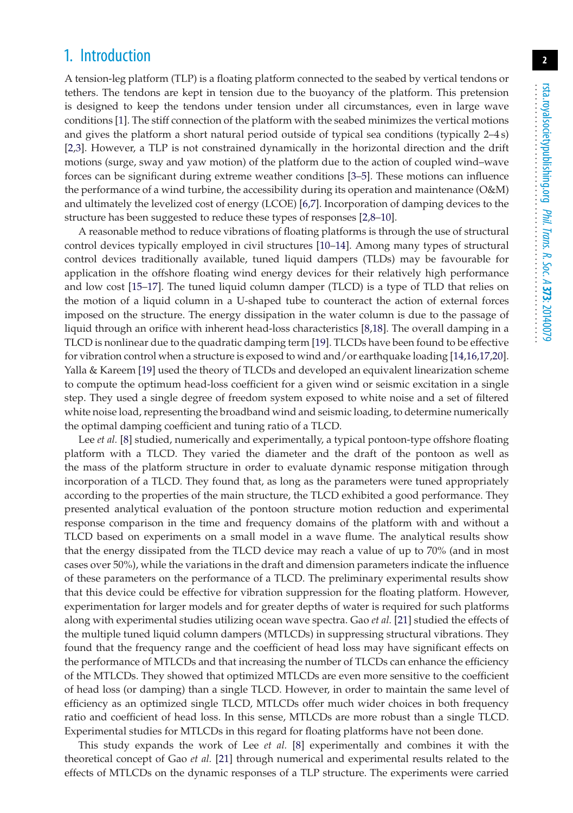## 1. Introduction

A tension-leg platform (TLP) is a floating platform connected to the seabed by vertical tendons or tethers. The tendons are kept in tension due to the buoyancy of the platform. This pretension is designed to keep the tendons under tension under all circumstances, even in large wave conditions [\[1\]](#page-7-0). The stiff connection of the platform with the seabed minimizes the vertical motions and gives the platform a short natural period outside of typical sea conditions (typically 2–4 s) [\[2](#page-7-1)[,3\]](#page-7-2). However, a TLP is not constrained dynamically in the horizontal direction and the drift motions (surge, sway and yaw motion) of the platform due to the action of coupled wind–wave forces can be significant during extreme weather conditions [\[3](#page-7-2)[–5\]](#page-7-3). These motions can influence the performance of a wind turbine, the accessibility during its operation and maintenance (O&M) and ultimately the levelized cost of energy (LCOE) [\[6](#page-7-4)[,7\]](#page-7-5). Incorporation of damping devices to the structure has been suggested to reduce these types of responses [\[2,](#page-7-1)[8](#page-7-6)[–10\]](#page-7-7).

A reasonable method to reduce vibrations of floating platforms is through the use of structural control devices typically employed in civil structures [\[10](#page-7-7)[–14\]](#page-8-0). Among many types of structural control devices traditionally available, tuned liquid dampers (TLDs) may be favourable for application in the offshore floating wind energy devices for their relatively high performance and low cost [\[15](#page-8-1)[–17\]](#page-8-2). The tuned liquid column damper (TLCD) is a type of TLD that relies on the motion of a liquid column in a U-shaped tube to counteract the action of external forces imposed on the structure. The energy dissipation in the water column is due to the passage of liquid through an orifice with inherent head-loss characteristics [\[8,](#page-7-6)[18\]](#page-8-3). The overall damping in a TLCD is nonlinear due to the quadratic damping term [\[19\]](#page-8-4). TLCDs have been found to be effective for vibration control when a structure is exposed to wind and/or earthquake loading [\[14,](#page-8-0)[16,](#page-8-5)[17,](#page-8-2)[20\]](#page-8-6). Yalla & Kareem [\[19\]](#page-8-4) used the theory of TLCDs and developed an equivalent linearization scheme to compute the optimum head-loss coefficient for a given wind or seismic excitation in a single step. They used a single degree of freedom system exposed to white noise and a set of filtered white noise load, representing the broadband wind and seismic loading, to determine numerically the optimal damping coefficient and tuning ratio of a TLCD.

Lee *et al.* [\[8\]](#page-7-6) studied, numerically and experimentally, a typical pontoon-type offshore floating platform with a TLCD. They varied the diameter and the draft of the pontoon as well as the mass of the platform structure in order to evaluate dynamic response mitigation through incorporation of a TLCD. They found that, as long as the parameters were tuned appropriately according to the properties of the main structure, the TLCD exhibited a good performance. They presented analytical evaluation of the pontoon structure motion reduction and experimental response comparison in the time and frequency domains of the platform with and without a TLCD based on experiments on a small model in a wave flume. The analytical results show that the energy dissipated from the TLCD device may reach a value of up to 70% (and in most cases over 50%), while the variations in the draft and dimension parameters indicate the influence of these parameters on the performance of a TLCD. The preliminary experimental results show that this device could be effective for vibration suppression for the floating platform. However, experimentation for larger models and for greater depths of water is required for such platforms along with experimental studies utilizing ocean wave spectra. Gao *et al.* [\[21\]](#page-8-7) studied the effects of the multiple tuned liquid column dampers (MTLCDs) in suppressing structural vibrations. They found that the frequency range and the coefficient of head loss may have significant effects on the performance of MTLCDs and that increasing the number of TLCDs can enhance the efficiency of the MTLCDs. They showed that optimized MTLCDs are even more sensitive to the coefficient of head loss (or damping) than a single TLCD. However, in order to maintain the same level of efficiency as an optimized single TLCD, MTLCDs offer much wider choices in both frequency ratio and coefficient of head loss. In this sense, MTLCDs are more robust than a single TLCD. Experimental studies for MTLCDs in this regard for floating platforms have not been done.

This study expands the work of Lee *et al.* [\[8\]](#page-7-6) experimentally and combines it with the theoretical concept of Gao *et al.* [\[21\]](#page-8-7) through numerical and experimental results related to the effects of MTLCDs on the dynamic responses of a TLP structure. The experiments were carried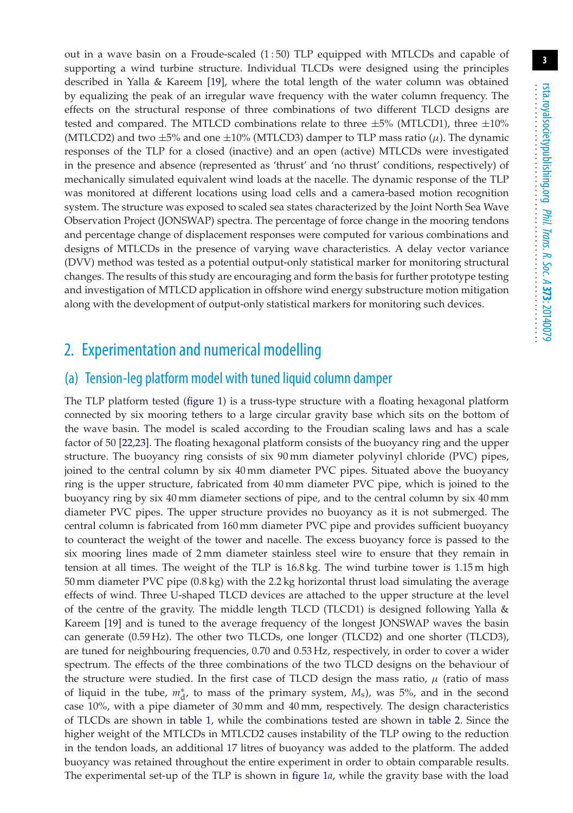out in a wave basin on a Froude-scaled (1 : 50) TLP equipped with MTLCDs and capable of supporting a wind turbine structure. Individual TLCDs were designed using the principles described in Yalla & Kareem [\[19\]](#page-8-4), where the total length of the water column was obtained by equalizing the peak of an irregular wave frequency with the water column frequency. The effects on the structural response of three combinations of two different TLCD designs are tested and compared. The MTLCD combinations relate to three  $\pm 5\%$  (MTLCD1), three  $\pm 10\%$ (MTLCD2) and two  $\pm 5\%$  and one  $\pm 10\%$  (MTLCD3) damper to TLP mass ratio ( $\mu$ ). The dynamic responses of the TLP for a closed (inactive) and an open (active) MTLCDs were investigated in the presence and absence (represented as 'thrust' and 'no thrust' conditions, respectively) of mechanically simulated equivalent wind loads at the nacelle. The dynamic response of the TLP was monitored at different locations using load cells and a camera-based motion recognition system. The structure was exposed to scaled sea states characterized by the Joint North Sea Wave Observation Project (JONSWAP) spectra. The percentage of force change in the mooring tendons and percentage change of displacement responses were computed for various combinations and designs of MTLCDs in the presence of varying wave characteristics. A delay vector variance (DVV) method was tested as a potential output-only statistical marker for monitoring structural changes. The results of this study are encouraging and form the basis for further prototype testing and investigation of MTLCD application in offshore wind energy substructure motion mitigation along with the development of output-only statistical markers for monitoring such devices.

## 2. Experimentation and numerical modelling

#### (a) Tension-leg platform model with tuned liquid column damper

The TLP platform tested [\(figure 1\)](#page-3-0) is a truss-type structure with a floating hexagonal platform connected by six mooring tethers to a large circular gravity base which sits on the bottom of the wave basin. The model is scaled according to the Froudian scaling laws and has a scale factor of 50 [\[22](#page-8-8)[,23\]](#page-8-9). The floating hexagonal platform consists of the buoyancy ring and the upper structure. The buoyancy ring consists of six 90 mm diameter polyvinyl chloride (PVC) pipes, joined to the central column by six 40 mm diameter PVC pipes. Situated above the buoyancy ring is the upper structure, fabricated from 40 mm diameter PVC pipe, which is joined to the buoyancy ring by six 40 mm diameter sections of pipe, and to the central column by six 40 mm diameter PVC pipes. The upper structure provides no buoyancy as it is not submerged. The central column is fabricated from 160 mm diameter PVC pipe and provides sufficient buoyancy to counteract the weight of the tower and nacelle. The excess buoyancy force is passed to the six mooring lines made of 2 mm diameter stainless steel wire to ensure that they remain in tension at all times. The weight of the TLP is 16.8 kg. The wind turbine tower is 1.15 m high 50 mm diameter PVC pipe (0.8 kg) with the 2.2 kg horizontal thrust load simulating the average effects of wind. Three U-shaped TLCD devices are attached to the upper structure at the level of the centre of the gravity. The middle length TLCD (TLCD1) is designed following Yalla & Kareem [\[19\]](#page-8-4) and is tuned to the average frequency of the longest JONSWAP waves the basin can generate (0.59 Hz). The other two TLCDs, one longer (TLCD2) and one shorter (TLCD3), are tuned for neighbouring frequencies, 0.70 and 0.53 Hz, respectively, in order to cover a wider spectrum. The effects of the three combinations of the two TLCD designs on the behaviour of the structure were studied. In the first case of TLCD design the mass ratio,  $\mu$  (ratio of mass of liquid in the tube,  $m_d^*$ , to mass of the primary system, *M*<sub>s</sub>), was 5%, and in the second case 10%, with a pipe diameter of 30 mm and 40 mm, respectively. The design characteristics of TLCDs are shown in [table 1,](#page-3-1) while the combinations tested are shown in [table 2.](#page-3-2) Since the higher weight of the MTLCDs in MTLCD2 causes instability of the TLP owing to the reduction in the tendon loads, an additional 17 litres of buoyancy was added to the platform. The added buoyancy was retained throughout the entire experiment in order to obtain comparable results. The experimental set-up of the TLP is shown in [figure 1](#page-3-0)*a*, while the gravity base with the load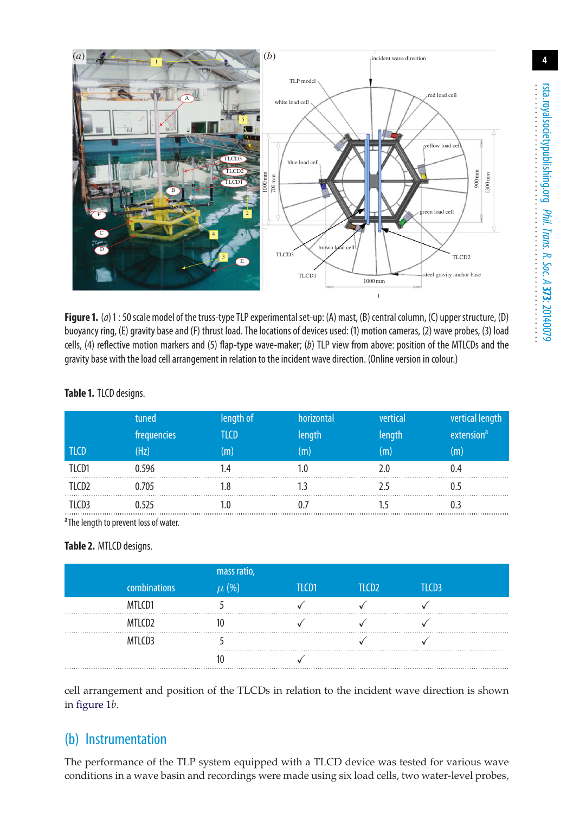**4**



<span id="page-3-0"></span>Figure 1. (a) 1 : 50 scale model of the truss-type TLP experimental set-up: (A) mast, (B) central column, (C) upper structure, (D) buoyancy ring, (E) gravity base and (F) thrust load. The locations of devices used: (1) motion cameras, (2) wave probes, (3) load cells, (4) reflective motion markers and (5) flap-type wave-maker; (*b*) TLP view from above: position of the MTLCDs and the gravity base with the load cell arrangement in relation to the incident wave direction. (Online version in colour.)

|             | tuned       | length of | horizontal | vertical | vertical length        |
|-------------|-------------|-----------|------------|----------|------------------------|
|             | frequencies | TLCD      | length     | length   | extension <sup>a</sup> |
| <b>TLCD</b> | (Hz)        | m         |            | (m)      | (m)                    |
| TI CD1      | .596        |           |            |          |                        |
|             | ).705       |           |            |          |                        |
|             | .525        |           |            |          |                        |

#### <span id="page-3-1"></span>**Table 1.** TLCD designs.

<sup>a</sup>The length to prevent loss of water.

#### <span id="page-3-2"></span>**Table 2.** MTLCD designs.

|                    | mass ratio, |            |                   |       |  |
|--------------------|-------------|------------|-------------------|-------|--|
| combinations       | $\mu$ (%)   | $TI$ $CD1$ | TLCD <sub>2</sub> | TLCD3 |  |
| MTLCD1             |             |            |                   |       |  |
| MTLCD <sub>2</sub> |             |            |                   |       |  |
| MTLCD3             |             |            |                   |       |  |
|                    |             |            |                   |       |  |

cell arrangement and position of the TLCDs in relation to the incident wave direction is shown in [figure 1](#page-3-0)*b*.

#### (b) Instrumentation

The performance of the TLP system equipped with a TLCD device was tested for various wave conditions in a wave basin and recordings were made using six load cells, two water-level probes,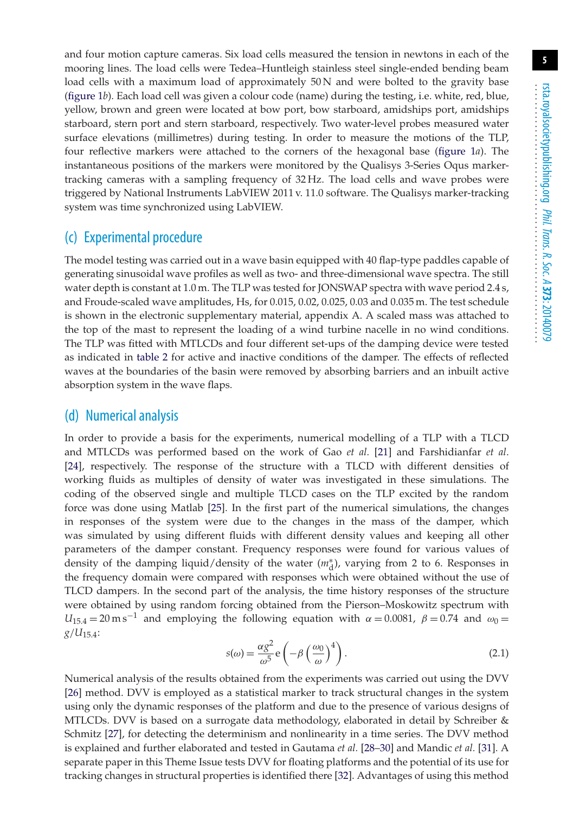and four motion capture cameras. Six load cells measured the tension in newtons in each of the mooring lines. The load cells were Tedea–Huntleigh stainless steel single-ended bending beam load cells with a maximum load of approximately 50N and were bolted to the gravity base [\(figure 1](#page-3-0)*b*). Each load cell was given a colour code (name) during the testing, i.e. white, red, blue, yellow, brown and green were located at bow port, bow starboard, amidships port, amidships starboard, stern port and stern starboard, respectively. Two water-level probes measured water surface elevations (millimetres) during testing. In order to measure the motions of the TLP, four reflective markers were attached to the corners of the hexagonal base [\(figure 1](#page-3-0)*a*). The instantaneous positions of the markers were monitored by the Qualisys 3-Series Oqus markertracking cameras with a sampling frequency of 32 Hz. The load cells and wave probes were triggered by National Instruments LabVIEW 2011 v. 11.0 software. The Qualisys marker-tracking system was time synchronized using LabVIEW.

#### (c) Experimental procedure

The model testing was carried out in a wave basin equipped with 40 flap-type paddles capable of generating sinusoidal wave profiles as well as two- and three-dimensional wave spectra. The still water depth is constant at 1.0 m. The TLP was tested for JONSWAP spectra with wave period 2.4 s, and Froude-scaled wave amplitudes, Hs, for 0.015, 0.02, 0.025, 0.03 and 0.035 m. The test schedule is shown in the electronic supplementary material, appendix A. A scaled mass was attached to the top of the mast to represent the loading of a wind turbine nacelle in no wind conditions. The TLP was fitted with MTLCDs and four different set-ups of the damping device were tested as indicated in [table 2](#page-3-2) for active and inactive conditions of the damper. The effects of reflected waves at the boundaries of the basin were removed by absorbing barriers and an inbuilt active absorption system in the wave flaps.

#### (d) Numerical analysis

In order to provide a basis for the experiments, numerical modelling of a TLP with a TLCD and MTLCDs was performed based on the work of Gao *et al.* [\[21\]](#page-8-7) and Farshidianfar *et al*. [\[24\]](#page-8-10), respectively. The response of the structure with a TLCD with different densities of working fluids as multiples of density of water was investigated in these simulations. The coding of the observed single and multiple TLCD cases on the TLP excited by the random force was done using Matlab [\[25\]](#page-8-11). In the first part of the numerical simulations, the changes in responses of the system were due to the changes in the mass of the damper, which was simulated by using different fluids with different density values and keeping all other parameters of the damper constant. Frequency responses were found for various values of density of the damping liquid/density of the water ( $m_d^*$ ), varying from 2 to 6. Responses in the frequency domain were compared with responses which were obtained without the use of TLCD dampers. In the second part of the analysis, the time history responses of the structure were obtained by using random forcing obtained from the Pierson–Moskowitz spectrum with  $U_{15.4} = 20 \text{ m s}^{-1}$  and employing the following equation with  $\alpha = 0.0081$ ,  $\beta = 0.74$  and  $\omega_0 =$  $g/U_{15.4}$ :

<span id="page-4-0"></span>
$$
s(\omega) = \frac{\alpha g^2}{\omega^5} e \left( -\beta \left( \frac{\omega_0}{\omega} \right)^4 \right). \tag{2.1}
$$

Numerical analysis of the results obtained from the experiments was carried out using the DVV [\[26\]](#page-8-12) method. DVV is employed as a statistical marker to track structural changes in the system using only the dynamic responses of the platform and due to the presence of various designs of MTLCDs. DVV is based on a surrogate data methodology, elaborated in detail by Schreiber & Schmitz [\[27\]](#page-8-13), for detecting the determinism and nonlinearity in a time series. The DVV method is explained and further elaborated and tested in Gautama *et al.* [\[28–](#page-8-14)[30\]](#page-8-15) and Mandic *et al.* [\[31\]](#page-8-16). A separate paper in this Theme Issue tests DVV for floating platforms and the potential of its use for tracking changes in structural properties is identified there [\[32\]](#page-8-17). Advantages of using this method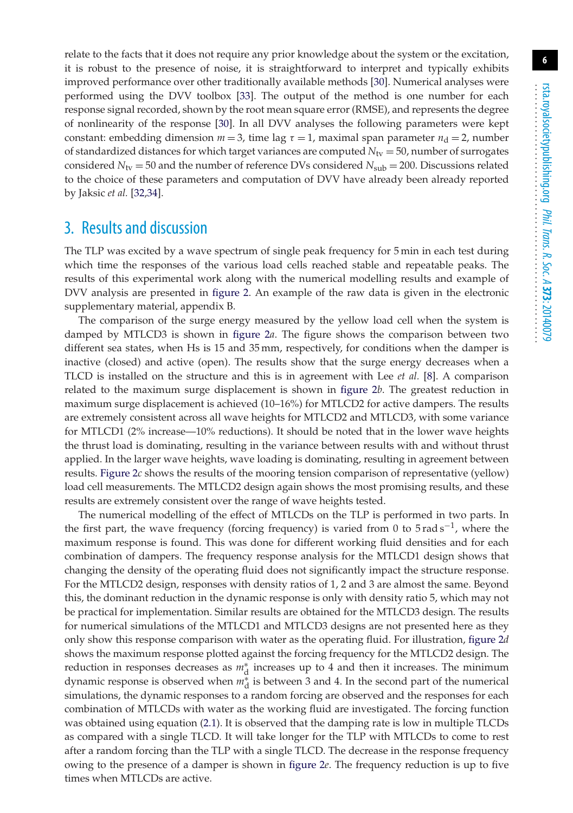relate to the facts that it does not require any prior knowledge about the system or the excitation, it is robust to the presence of noise, it is straightforward to interpret and typically exhibits improved performance over other traditionally available methods [\[30\]](#page-8-15). Numerical analyses were performed using the DVV toolbox [\[33\]](#page-8-18). The output of the method is one number for each response signal recorded, shown by the root mean square error (RMSE), and represents the degree of nonlinearity of the response [\[30\]](#page-8-15). In all DVV analyses the following parameters were kept constant: embedding dimension  $m = 3$ , time lag  $\tau = 1$ , maximal span parameter  $n_d = 2$ , number of standardized distances for which target variances are computed  $N_{\text{tv}} = 50$ , number of surrogates considered  $N_{\text{tv}} = 50$  and the number of reference DVs considered  $N_{\text{sub}} = 200$ . Discussions related to the choice of these parameters and computation of DVV have already been already reported by Jaksic *et al.* [\[32](#page-8-17)[,34\]](#page-8-19).

## 3. Results and discussion

The TLP was excited by a wave spectrum of single peak frequency for 5 min in each test during which time the responses of the various load cells reached stable and repeatable peaks. The results of this experimental work along with the numerical modelling results and example of DVV analysis are presented in [figure 2.](#page-6-0) An example of the raw data is given in the electronic supplementary material, appendix B.

The comparison of the surge energy measured by the yellow load cell when the system is damped by MTLCD3 is shown in [figure 2](#page-6-0)*a*. The figure shows the comparison between two different sea states, when Hs is 15 and 35 mm, respectively, for conditions when the damper is inactive (closed) and active (open). The results show that the surge energy decreases when a TLCD is installed on the structure and this is in agreement with Lee *et al.* [\[8\]](#page-7-6). A comparison related to the maximum surge displacement is shown in [figure 2](#page-6-0)*b*. The greatest reduction in maximum surge displacement is achieved (10–16%) for MTLCD2 for active dampers. The results are extremely consistent across all wave heights for MTLCD2 and MTLCD3, with some variance for MTLCD1 (2% increase—10% reductions). It should be noted that in the lower wave heights the thrust load is dominating, resulting in the variance between results with and without thrust applied. In the larger wave heights, wave loading is dominating, resulting in agreement between results. [Figure 2](#page-6-0)*c* shows the results of the mooring tension comparison of representative (yellow) load cell measurements. The MTLCD2 design again shows the most promising results, and these results are extremely consistent over the range of wave heights tested.

The numerical modelling of the effect of MTLCDs on the TLP is performed in two parts. In the first part, the wave frequency (forcing frequency) is varied from 0 to  $5$  rad s<sup> $-1$ </sup>, where the maximum response is found. This was done for different working fluid densities and for each combination of dampers. The frequency response analysis for the MTLCD1 design shows that changing the density of the operating fluid does not significantly impact the structure response. For the MTLCD2 design, responses with density ratios of 1, 2 and 3 are almost the same. Beyond this, the dominant reduction in the dynamic response is only with density ratio 5, which may not be practical for implementation. Similar results are obtained for the MTLCD3 design. The results for numerical simulations of the MTLCD1 and MTLCD3 designs are not presented here as they only show this response comparison with water as the operating fluid. For illustration, [figure 2](#page-6-0)*d* shows the maximum response plotted against the forcing frequency for the MTLCD2 design. The reduction in responses decreases as *m*∗ <sup>d</sup> increases up to 4 and then it increases. The minimum dynamic response is observed when *m*∗ <sup>d</sup> is between 3 and 4. In the second part of the numerical simulations, the dynamic responses to a random forcing are observed and the responses for each combination of MTLCDs with water as the working fluid are investigated. The forcing function was obtained using equation [\(2.1\)](#page-4-0). It is observed that the damping rate is low in multiple TLCDs as compared with a single TLCD. It will take longer for the TLP with MTLCDs to come to rest after a random forcing than the TLP with a single TLCD. The decrease in the response frequency owing to the presence of a damper is shown in [figure 2](#page-6-0)*e*. The frequency reduction is up to five times when MTLCDs are active.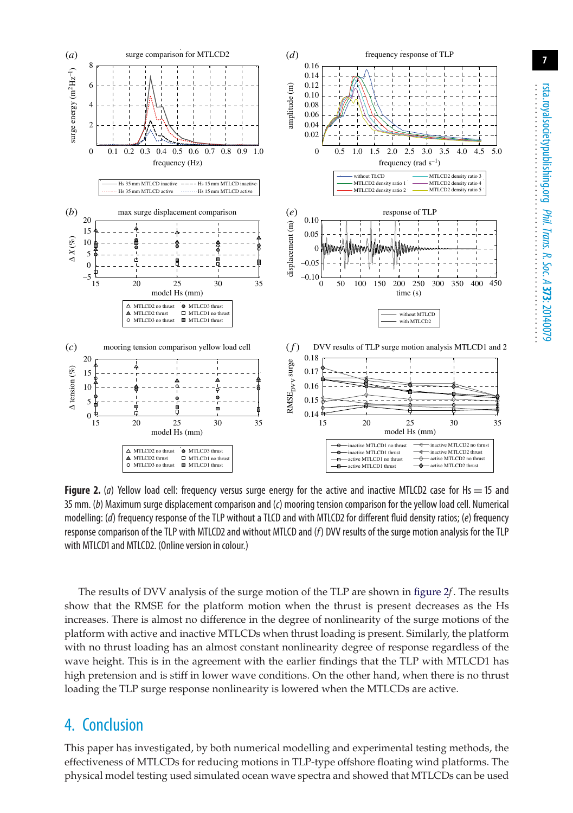

<span id="page-6-0"></span>**Figure 2.** (*a*) Yellow load cell: frequency versus surge energy for the active and inactive MTLCD2 case for Hs  $=$  15 and 35 mm. (*b*) Maximum surge displacement comparison and (*c*) mooring tension comparison for the yellow load cell. Numerical modelling: (*d*) frequency response of the TLP without a TLCD and with MTLCD2 for different fluid density ratios; (*e*) frequency response comparison of the TLP with MTLCD2 and without MTLCD and (*f*) DVV results of the surge motion analysis for the TLP with MTLCD1 and MTLCD2. (Online version in colour.)

The results of DVV analysis of the surge motion of the TLP are shown in [figure 2](#page-6-0)*f*. The results show that the RMSE for the platform motion when the thrust is present decreases as the Hs increases. There is almost no difference in the degree of nonlinearity of the surge motions of the platform with active and inactive MTLCDs when thrust loading is present. Similarly, the platform with no thrust loading has an almost constant nonlinearity degree of response regardless of the wave height. This is in the agreement with the earlier findings that the TLP with MTLCD1 has high pretension and is stiff in lower wave conditions. On the other hand, when there is no thrust loading the TLP surge response nonlinearity is lowered when the MTLCDs are active.

#### 4. Conclusion

This paper has investigated, by both numerical modelling and experimental testing methods, the effectiveness of MTLCDs for reducing motions in TLP-type offshore floating wind platforms. The physical model testing used simulated ocean wave spectra and showed that MTLCDs can be used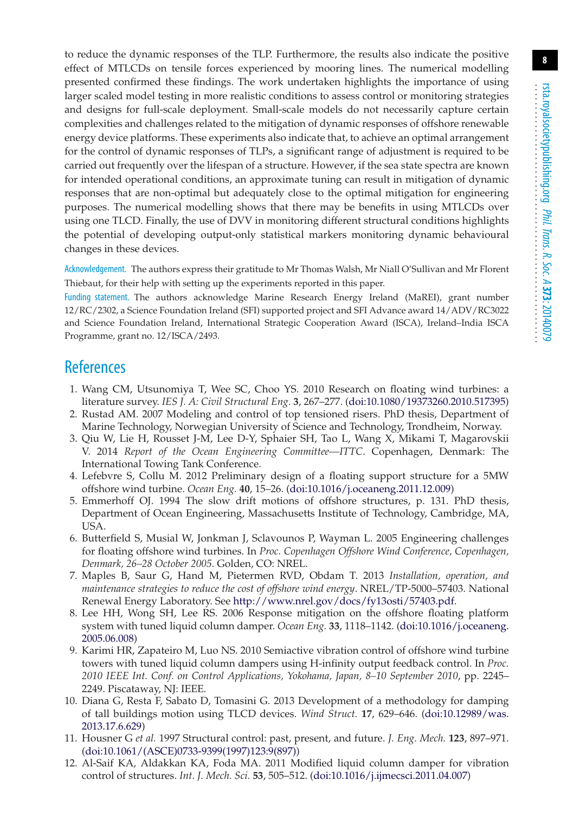to reduce the dynamic responses of the TLP. Furthermore, the results also indicate the positive effect of MTLCDs on tensile forces experienced by mooring lines. The numerical modelling presented confirmed these findings. The work undertaken highlights the importance of using larger scaled model testing in more realistic conditions to assess control or monitoring strategies and designs for full-scale deployment. Small-scale models do not necessarily capture certain complexities and challenges related to the mitigation of dynamic responses of offshore renewable energy device platforms. These experiments also indicate that, to achieve an optimal arrangement for the control of dynamic responses of TLPs, a significant range of adjustment is required to be carried out frequently over the lifespan of a structure. However, if the sea state spectra are known for intended operational conditions, an approximate tuning can result in mitigation of dynamic responses that are non-optimal but adequately close to the optimal mitigation for engineering purposes. The numerical modelling shows that there may be benefits in using MTLCDs over using one TLCD. Finally, the use of DVV in monitoring different structural conditions highlights the potential of developing output-only statistical markers monitoring dynamic behavioural changes in these devices.

Acknowledgement. The authors express their gratitude to Mr Thomas Walsh, Mr Niall O'Sullivan and Mr Florent Thiebaut, for their help with setting up the experiments reported in this paper.

Funding statement. The authors acknowledge Marine Research Energy Ireland (MaREI), grant number 12/RC/2302, a Science Foundation Ireland (SFI) supported project and SFI Advance award 14/ADV/RC3022 and Science Foundation Ireland, International Strategic Cooperation Award (ISCA), Ireland–India ISCA Programme, grant no. 12/ISCA/2493.

### <span id="page-7-0"></span>**References**

- 1. Wang CM, Utsunomiya T, Wee SC, Choo YS. 2010 Research on floating wind turbines: a literature survey. *IES J. A: Civil Structural Eng.* **3**, 267–277. [\(doi:10.1080/19373260.2010.517395\)](http://dx.doi.org/doi:10.1080/19373260.2010.517395)
- <span id="page-7-1"></span>2. Rustad AM. 2007 Modeling and control of top tensioned risers. PhD thesis, Department of Marine Technology, Norwegian University of Science and Technology, Trondheim, Norway.
- <span id="page-7-2"></span>3. Qiu W, Lie H, Rousset J-M, Lee D-Y, Sphaier SH, Tao L, Wang X, Mikami T, Magarovskii V. 2014 *Report of the Ocean Engineering Committee—ITTC*. Copenhagen, Denmark: The International Towing Tank Conference.
- 4. Lefebvre S, Collu M. 2012 Preliminary design of a floating support structure for a 5MW offshore wind turbine. *Ocean Eng.* **40**, 15–26. [\(doi:10.1016/j.oceaneng.2011.12.009\)](http://dx.doi.org/doi:10.1016/j.oceaneng.2011.12.009)
- <span id="page-7-3"></span>5. Emmerhoff OJ. 1994 The slow drift motions of offshore structures, p. 131. PhD thesis, Department of Ocean Engineering, Massachusetts Institute of Technology, Cambridge, MA, USA.
- <span id="page-7-4"></span>6. Butterfield S, Musial W, Jonkman J, Sclavounos P, Wayman L. 2005 Engineering challenges for floating offshore wind turbines. In *Proc. Copenhagen Offshore Wind Conference, Copenhagen, Denmark, 26–28 October 2005*. Golden, CO: NREL.
- <span id="page-7-5"></span>7. Maples B, Saur G, Hand M, Pietermen RVD, Obdam T. 2013 *Installation, operation, and maintenance strategies to reduce the cost of offshore wind energy*. NREL/TP-5000–57403. National Renewal Energy Laboratory. See [http://www.nrel.gov/docs/fy13osti/57403.pdf.](http://www.nrel.gov/docs/fy13osti/57403.pdf)
- <span id="page-7-6"></span>8. Lee HH, Wong SH, Lee RS. 2006 Response mitigation on the offshore floating platform system with tuned liquid column damper. *Ocean Eng.* **33**, 1118–1142. [\(doi:10.1016/j.oceaneng.](http://dx.doi.org/doi:10.1016/j.oceaneng.2005.06.008) [2005.06.008\)](http://dx.doi.org/doi:10.1016/j.oceaneng.2005.06.008)
- 9. Karimi HR, Zapateiro M, Luo NS. 2010 Semiactive vibration control of offshore wind turbine towers with tuned liquid column dampers using H-infinity output feedback control. In *Proc. 2010 IEEE Int. Conf. on Control Applications, Yokohama, Japan, 8–10 September 2010*, pp. 2245– 2249. Piscataway, NJ: IEEE.
- <span id="page-7-7"></span>10. Diana G, Resta F, Sabato D, Tomasini G. 2013 Development of a methodology for damping of tall buildings motion using TLCD devices. *Wind Struct.* **17**, 629–646. [\(doi:10.12989/was.](http://dx.doi.org/doi:10.12989/was.2013.17.6.629) [2013.17.6.629\)](http://dx.doi.org/doi:10.12989/was.2013.17.6.629)
- 11. Housner G *et al.* 1997 Structural control: past, present, and future. *J. Eng. Mech.* **123**, 897–971. [\(doi:10.1061/\(ASCE\)0733-9399\(1997\)123:9\(897\)\)](http://dx.doi.org/doi:10.1061/(ASCE)0733-9399(1997)123:9(897))
- 12. Al-Saif KA, Aldakkan KA, Foda MA. 2011 Modified liquid column damper for vibration control of structures. *Int. J. Mech. Sci.* **53**, 505–512. [\(doi:10.1016/j.ijmecsci.2011.04.007\)](http://dx.doi.org/doi:10.1016/j.ijmecsci.2011.04.007)